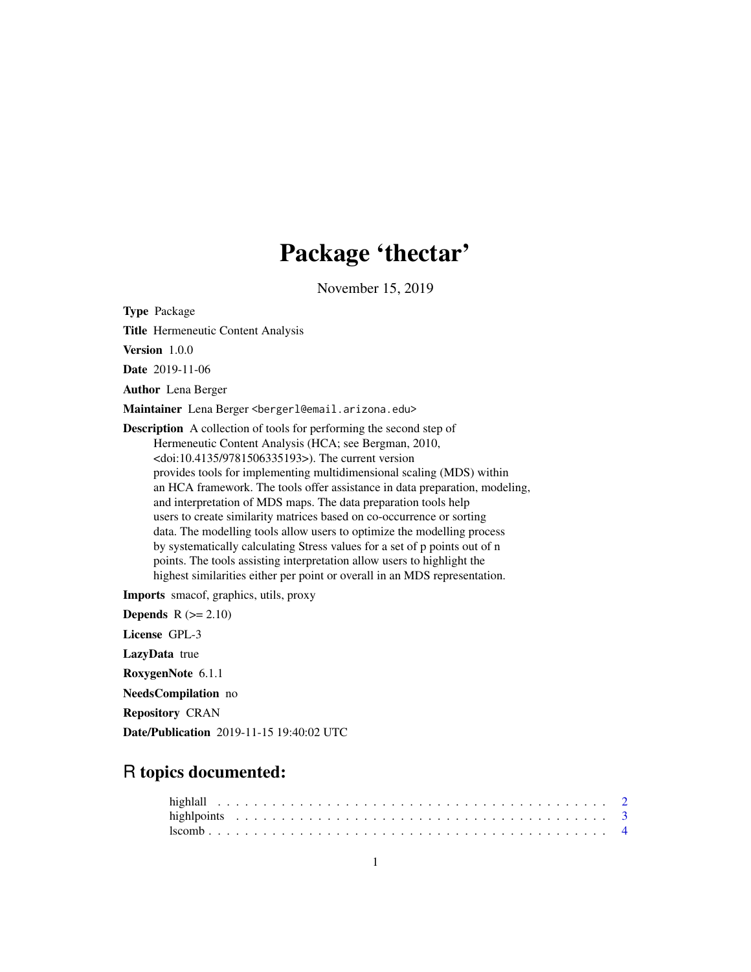# Package 'thectar'

November 15, 2019

<span id="page-0-0"></span>Type Package

Title Hermeneutic Content Analysis

Version 1.0.0

Date 2019-11-06

Author Lena Berger

Maintainer Lena Berger <bergerl@email.arizona.edu>

Description A collection of tools for performing the second step of Hermeneutic Content Analysis (HCA; see Bergman, 2010, <doi:10.4135/9781506335193>). The current version provides tools for implementing multidimensional scaling (MDS) within an HCA framework. The tools offer assistance in data preparation, modeling, and interpretation of MDS maps. The data preparation tools help users to create similarity matrices based on co-occurrence or sorting data. The modelling tools allow users to optimize the modelling process by systematically calculating Stress values for a set of p points out of n points. The tools assisting interpretation allow users to highlight the highest similarities either per point or overall in an MDS representation.

Imports smacof, graphics, utils, proxy

Depends  $R (= 2.10)$ License GPL-3 LazyData true RoxygenNote 6.1.1 NeedsCompilation no Repository CRAN Date/Publication 2019-11-15 19:40:02 UTC

# R topics documented: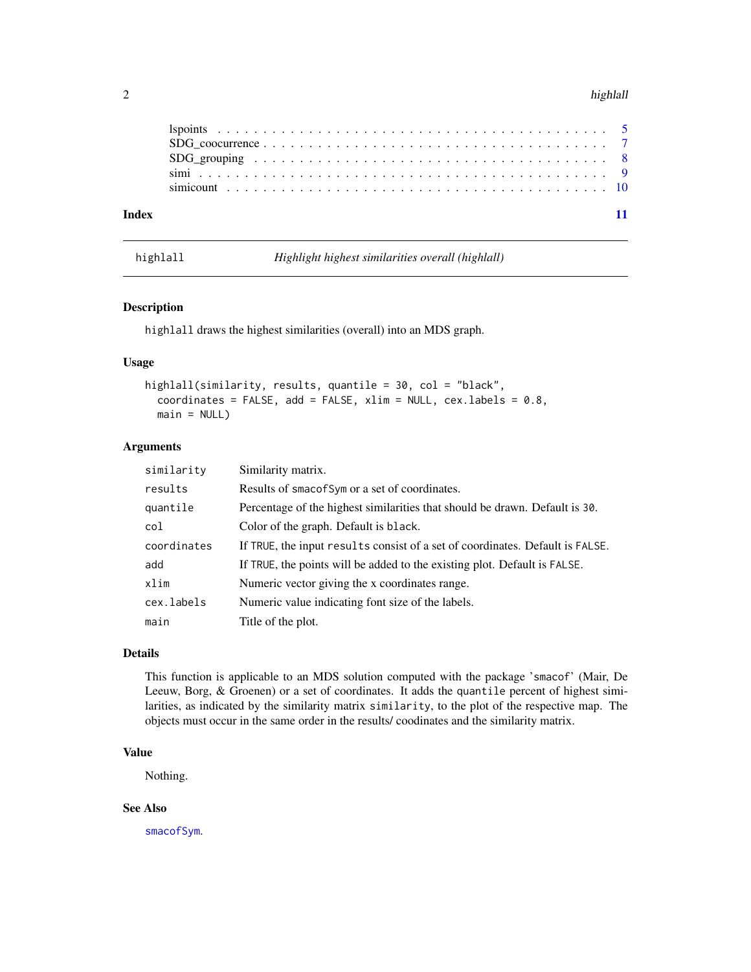# <span id="page-1-0"></span>2 highlall and the control of the control of the control of the control of the control of the control of the control of the control of the control of the control of the control of the control of the control of the control

| Index |  |  |  |  |  |  |  |  |  |  |  |  |  |  |  |  |  |
|-------|--|--|--|--|--|--|--|--|--|--|--|--|--|--|--|--|--|

highlall *Highlight highest similarities overall (highlall)*

# Description

highlall draws the highest similarities (overall) into an MDS graph.

# Usage

```
highlall(similarity, results, quantile = 30, col = "black",
  coordinates = FALSE, add = FALSE, xlim = NULL, cex.labels = 0.8,
 main = NULL
```
# Arguments

| similarity  | Similarity matrix.                                                            |
|-------------|-------------------------------------------------------------------------------|
| results     | Results of smacof Sym or a set of coordinates.                                |
| quantile    | Percentage of the highest similarities that should be drawn. Default is 30.   |
| col         | Color of the graph. Default is black.                                         |
| coordinates | If TRUE, the input results consist of a set of coordinates. Default is FALSE. |
| add         | If TRUE, the points will be added to the existing plot. Default is FALSE.     |
| xlim        | Numeric vector giving the x coordinates range.                                |
| cex.labels  | Numeric value indicating font size of the labels.                             |
| main        | Title of the plot.                                                            |

# Details

This function is applicable to an MDS solution computed with the package 'smacof' (Mair, De Leeuw, Borg, & Groenen) or a set of coordinates. It adds the quantile percent of highest similarities, as indicated by the similarity matrix similarity, to the plot of the respective map. The objects must occur in the same order in the results/ coodinates and the similarity matrix.

# Value

Nothing.

# See Also

[smacofSym](#page-0-0).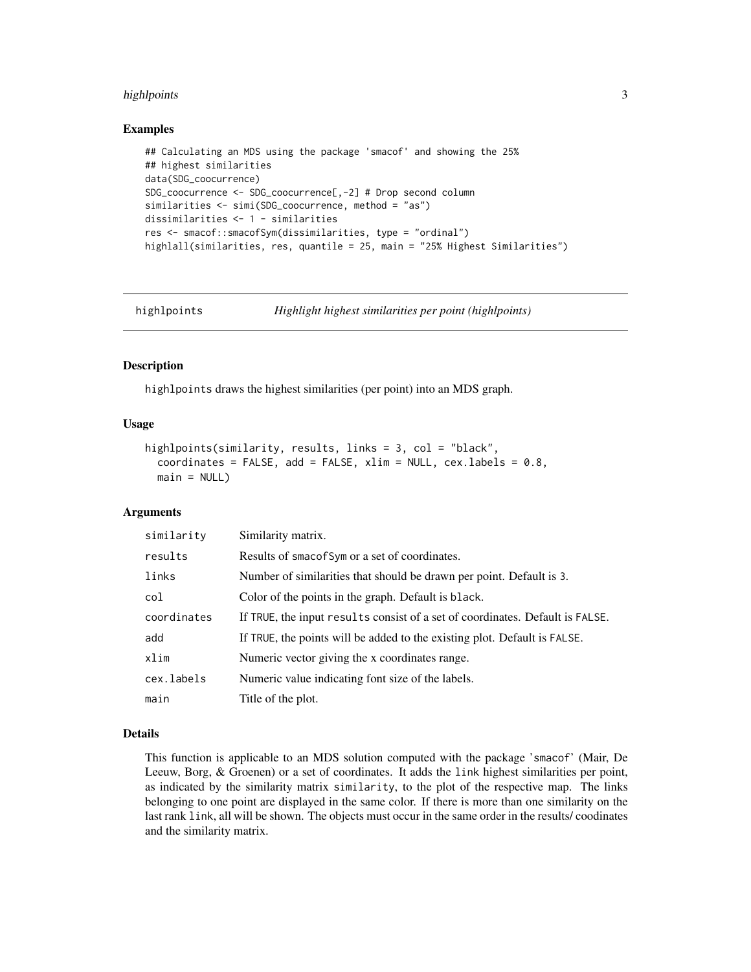# <span id="page-2-0"></span>highlpoints 3

# Examples

```
## Calculating an MDS using the package 'smacof' and showing the 25%
## highest similarities
data(SDG_coocurrence)
SDG_coocurrence <- SDG_coocurrence[,-2] # Drop second column
similarities <- simi(SDG_coocurrence, method = "as")
dissimilarities <- 1 - similarities
res <- smacof::smacofSym(dissimilarities, type = "ordinal")
highlall(similarities, res, quantile = 25, main = "25% Highest Similarities")
```
highlpoints *Highlight highest similarities per point (highlpoints)*

# Description

highlpoints draws the highest similarities (per point) into an MDS graph.

# Usage

```
highlpoints(similarity, results, links = 3, col = "black",
  coordinates = FALSE, add = FALSE, xlim = NULL, cex.labels = 0.8,
 main = NULL
```
# Arguments

| similarity  | Similarity matrix.                                                            |
|-------------|-------------------------------------------------------------------------------|
| results     | Results of smacof Sym or a set of coordinates.                                |
| links       | Number of similarities that should be drawn per point. Default is 3.          |
| col         | Color of the points in the graph. Default is black.                           |
| coordinates | If TRUE, the input results consist of a set of coordinates. Default is FALSE. |
| add         | If TRUE, the points will be added to the existing plot. Default is FALSE.     |
| xlim        | Numeric vector giving the x coordinates range.                                |
| cex.labels  | Numeric value indicating font size of the labels.                             |
| main        | Title of the plot.                                                            |

#### Details

This function is applicable to an MDS solution computed with the package 'smacof' (Mair, De Leeuw, Borg, & Groenen) or a set of coordinates. It adds the link highest similarities per point, as indicated by the similarity matrix similarity, to the plot of the respective map. The links belonging to one point are displayed in the same color. If there is more than one similarity on the last rank link, all will be shown. The objects must occur in the same order in the results/ coodinates and the similarity matrix.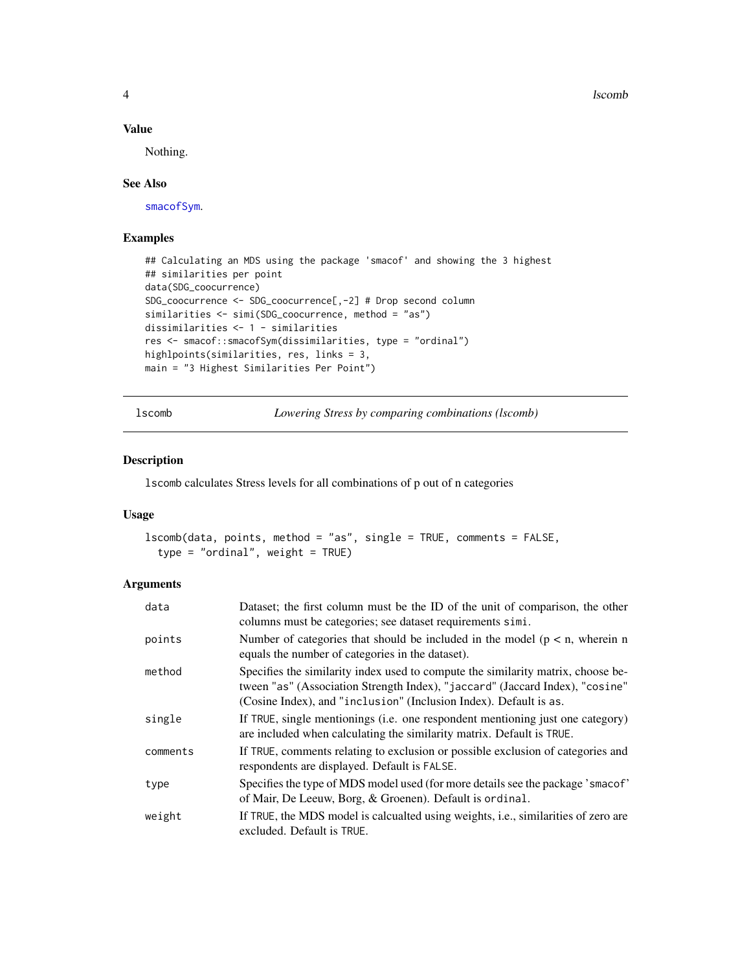4 lscomb and the set of the set of the set of the set of the set of the set of the set of the set of the set of the set of the set of the set of the set of the set of the set of the set of the set of the set of the set of

# Value

Nothing.

# See Also

[smacofSym](#page-0-0).

# Examples

```
## Calculating an MDS using the package 'smacof' and showing the 3 highest
## similarities per point
data(SDG_coocurrence)
SDG_coocurrence <- SDG_coocurrence[,-2] # Drop second column
similarities <- simi(SDG_coocurrence, method = "as")
dissimilarities <- 1 - similarities
res <- smacof::smacofSym(dissimilarities, type = "ordinal")
highlpoints(similarities, res, links = 3,
main = "3 Highest Similarities Per Point")
```
lscomb *Lowering Stress by comparing combinations (lscomb)*

# Description

lscomb calculates Stress levels for all combinations of p out of n categories

# Usage

```
lscomb(data, points, method = "as", single = TRUE, comments = FALSE,
  type = "ordinal", weight = TRUE)
```
# Arguments

| data     | Dataset; the first column must be the ID of the unit of comparison, the other<br>columns must be categories; see dataset requirements simi.                                                                                           |
|----------|---------------------------------------------------------------------------------------------------------------------------------------------------------------------------------------------------------------------------------------|
| points   | Number of categories that should be included in the model ( $p < n$ , wherein n<br>equals the number of categories in the dataset).                                                                                                   |
| method   | Specifies the similarity index used to compute the similarity matrix, choose be-<br>tween "as" (Association Strength Index), "jaccard" (Jaccard Index), "cosine"<br>(Cosine Index), and "inclusion" (Inclusion Index). Default is as. |
| single   | If TRUE, single mentionings (i.e. one respondent mentioning just one category)<br>are included when calculating the similarity matrix. Default is TRUE.                                                                               |
| comments | If TRUE, comments relating to exclusion or possible exclusion of categories and<br>respondents are displayed. Default is FALSE.                                                                                                       |
| type     | Specifies the type of MDS model used (for more details see the package 'smacof'<br>of Mair, De Leeuw, Borg, & Groenen). Default is ordinal.                                                                                           |
| weight   | If TRUE, the MDS model is calcualted using weights, i.e., similarities of zero are<br>excluded. Default is TRUE.                                                                                                                      |

<span id="page-3-0"></span>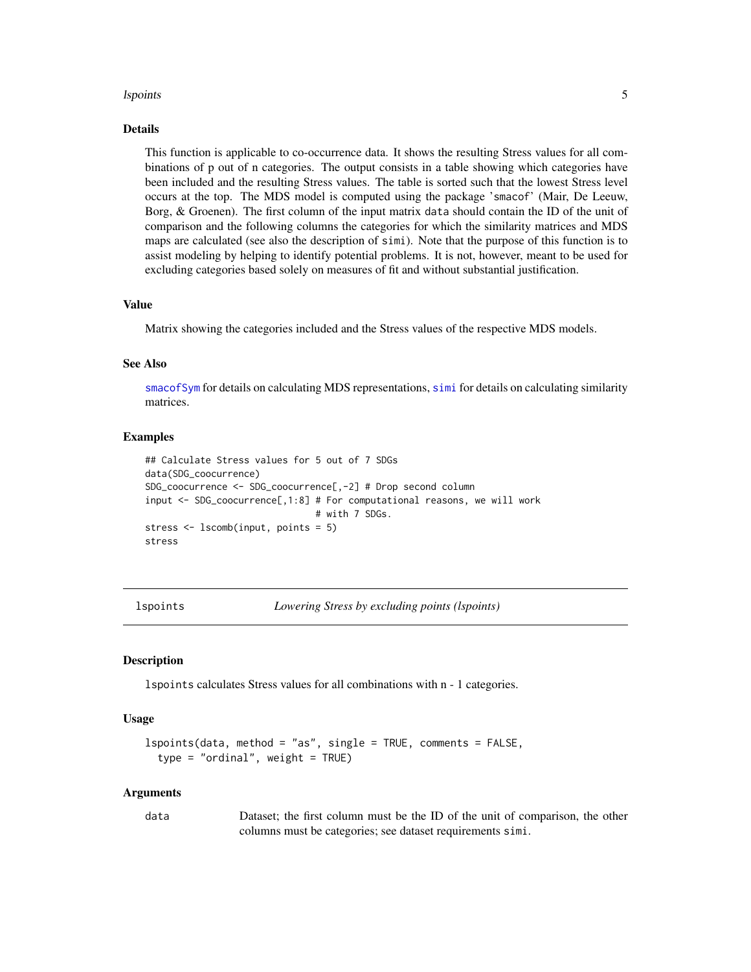# <span id="page-4-0"></span>lspoints 5

# Details

This function is applicable to co-occurrence data. It shows the resulting Stress values for all combinations of p out of n categories. The output consists in a table showing which categories have been included and the resulting Stress values. The table is sorted such that the lowest Stress level occurs at the top. The MDS model is computed using the package 'smacof' (Mair, De Leeuw, Borg, & Groenen). The first column of the input matrix data should contain the ID of the unit of comparison and the following columns the categories for which the similarity matrices and MDS maps are calculated (see also the description of simi). Note that the purpose of this function is to assist modeling by helping to identify potential problems. It is not, however, meant to be used for excluding categories based solely on measures of fit and without substantial justification.

# Value

Matrix showing the categories included and the Stress values of the respective MDS models.

# See Also

smacof Sym for details on calculating MDS representations, [simi](#page-8-1)l for details on calculating similarity matrices.

# Examples

```
## Calculate Stress values for 5 out of 7 SDGs
data(SDG_coocurrence)
SDG_coocurrence <- SDG_coocurrence[,-2] # Drop second column
input <- SDG_coocurrence[,1:8] # For computational reasons, we will work
                               # with 7 SDGs.
stress <- lscomb(input, points = 5)
stress
```
lspoints *Lowering Stress by excluding points (lspoints)*

# Description

lspoints calculates Stress values for all combinations with n - 1 categories.

#### Usage

```
lspoints(data, method = "as", single = TRUE, comments = FALSE,
  type = "ordinal", weight = TRUE)
```
#### Arguments

data Dataset; the first column must be the ID of the unit of comparison, the other columns must be categories; see dataset requirements simi.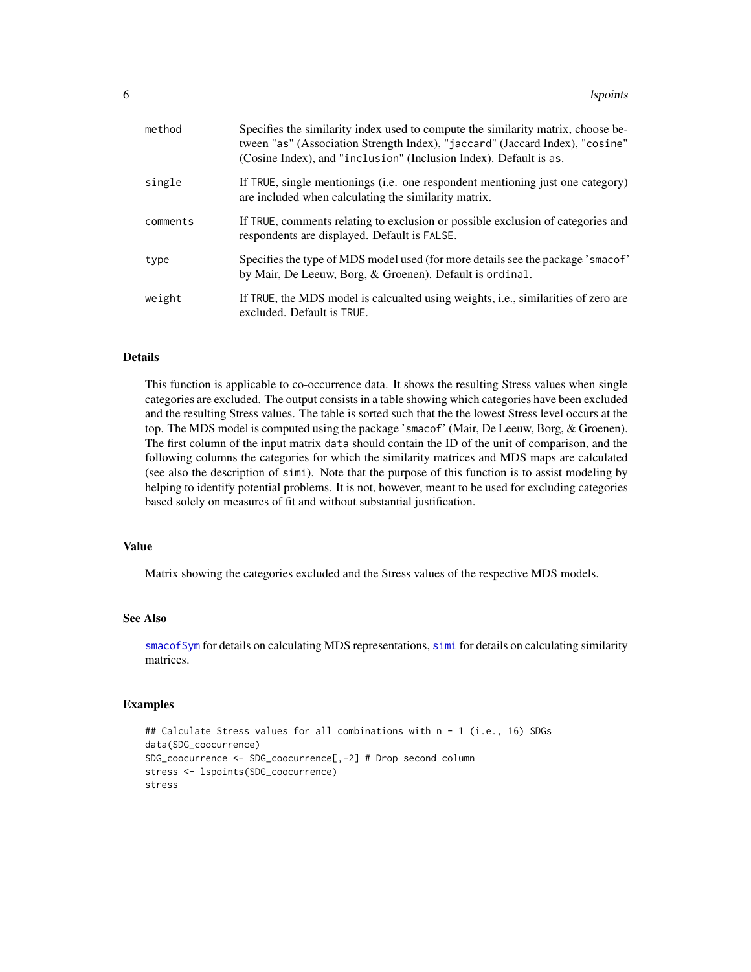<span id="page-5-0"></span>

| method   | Specifies the similarity index used to compute the similarity matrix, choose be-<br>tween "as" (Association Strength Index), "jaccard" (Jaccard Index), "cosine"<br>(Cosine Index), and "inclusion" (Inclusion Index). Default is as. |
|----------|---------------------------------------------------------------------------------------------------------------------------------------------------------------------------------------------------------------------------------------|
| single   | If TRUE, single mentionings (i.e. one respondent mentioning just one category)<br>are included when calculating the similarity matrix.                                                                                                |
| comments | If TRUE, comments relating to exclusion or possible exclusion of categories and<br>respondents are displayed. Default is FALSE.                                                                                                       |
| type     | Specifies the type of MDS model used (for more details see the package 'smacof'<br>by Mair, De Leeuw, Borg, & Groenen). Default is ordinal.                                                                                           |
| weight   | If TRUE, the MDS model is calcualted using weights, i.e., similarities of zero are<br>excluded. Default is TRUE.                                                                                                                      |

# Details

This function is applicable to co-occurrence data. It shows the resulting Stress values when single categories are excluded. The output consists in a table showing which categories have been excluded and the resulting Stress values. The table is sorted such that the the lowest Stress level occurs at the top. The MDS model is computed using the package 'smacof' (Mair, De Leeuw, Borg, & Groenen). The first column of the input matrix data should contain the ID of the unit of comparison, and the following columns the categories for which the similarity matrices and MDS maps are calculated (see also the description of simi). Note that the purpose of this function is to assist modeling by helping to identify potential problems. It is not, however, meant to be used for excluding categories based solely on measures of fit and without substantial justification.

# Value

Matrix showing the categories excluded and the Stress values of the respective MDS models.

# See Also

smacof Sym for details on calculating MDS representations, [simi](#page-8-1) for details on calculating similarity matrices.

# Examples

```
## Calculate Stress values for all combinations with n - 1 (i.e., 16) SDGs
data(SDG_coocurrence)
SDG_coocurrence <- SDG_coocurrence[,-2] # Drop second column
stress <- lspoints(SDG_coocurrence)
stress
```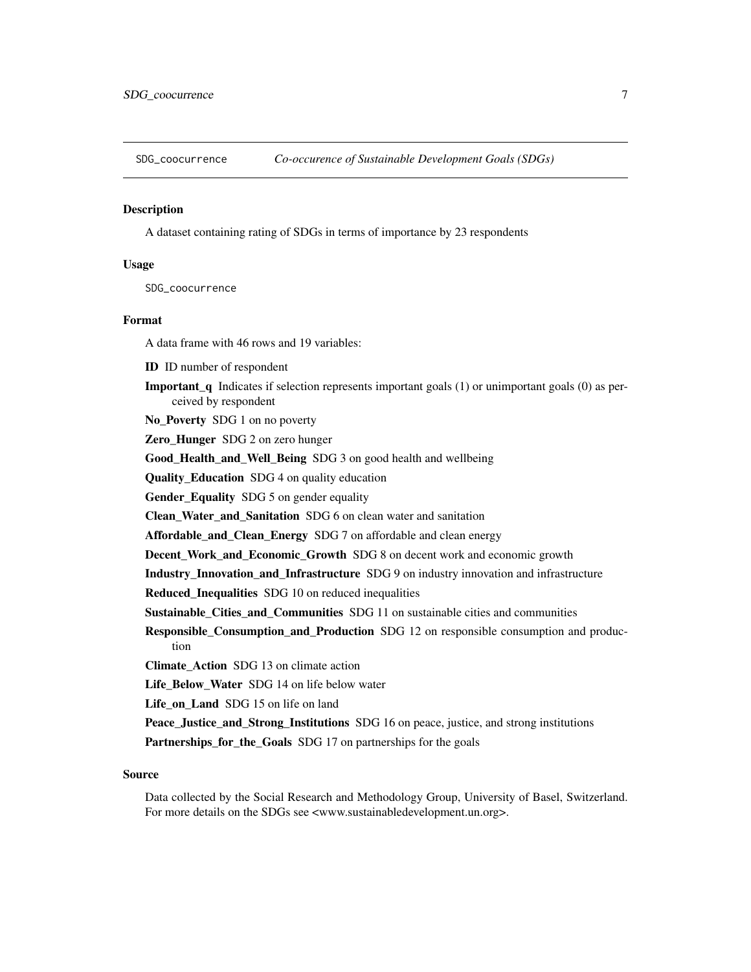<span id="page-6-0"></span>

# Description

A dataset containing rating of SDGs in terms of importance by 23 respondents

#### Usage

SDG\_coocurrence

# Format

A data frame with 46 rows and 19 variables:

ID ID number of respondent

**Important** q Indicates if selection represents important goals  $(1)$  or unimportant goals  $(0)$  as perceived by respondent

No Poverty SDG 1 on no poverty

Zero\_Hunger SDG 2 on zero hunger

Good\_Health\_and\_Well\_Being SDG 3 on good health and wellbeing

Quality\_Education SDG 4 on quality education

Gender\_Equality SDG 5 on gender equality

Clean\_Water\_and\_Sanitation SDG 6 on clean water and sanitation

Affordable\_and\_Clean\_Energy SDG 7 on affordable and clean energy

Decent\_Work\_and\_Economic\_Growth SDG 8 on decent work and economic growth

Industry\_Innovation\_and\_Infrastructure SDG 9 on industry innovation and infrastructure

Reduced\_Inequalities SDG 10 on reduced inequalities

Sustainable\_Cities\_and\_Communities SDG 11 on sustainable cities and communities

Responsible\_Consumption\_and\_Production SDG 12 on responsible consumption and production

Climate\_Action SDG 13 on climate action

Life\_Below\_Water SDG 14 on life below water

Life on Land SDG 15 on life on land

Peace\_Justice\_and\_Strong\_Institutions SDG 16 on peace, justice, and strong institutions

Partnerships\_for\_the\_Goals SDG 17 on partnerships for the goals

# Source

Data collected by the Social Research and Methodology Group, University of Basel, Switzerland. For more details on the SDGs see <www.sustainabledevelopment.un.org>.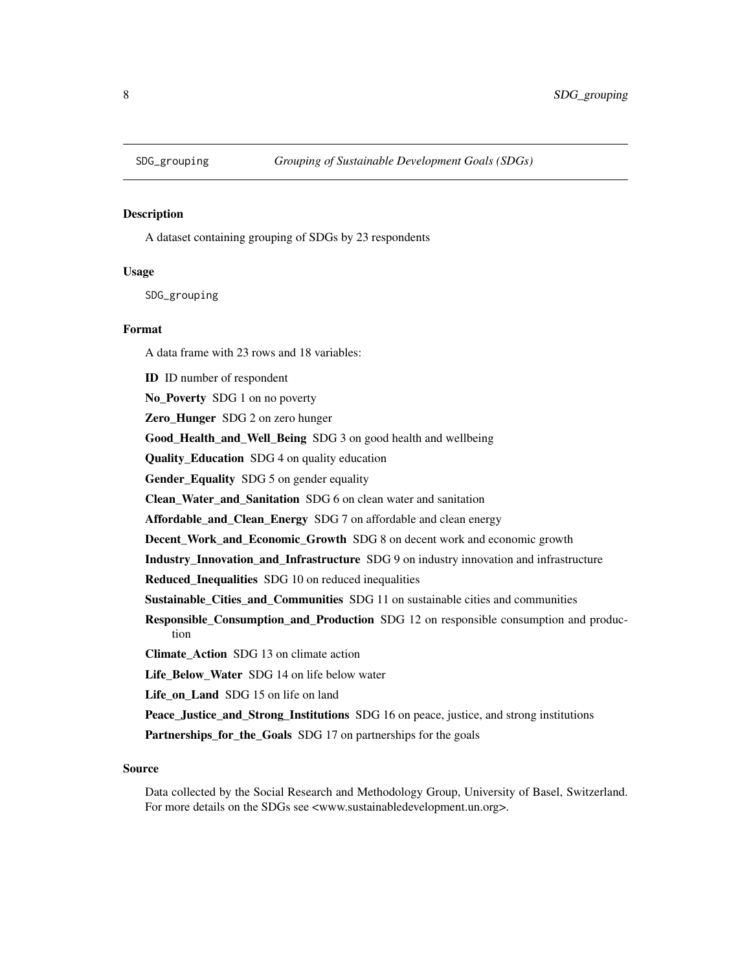<span id="page-7-0"></span>

# Description

A dataset containing grouping of SDGs by 23 respondents

# Usage

SDG\_grouping

# Format

A data frame with 23 rows and 18 variables:

ID ID number of respondent

No\_Poverty SDG 1 on no poverty

Zero\_Hunger SDG 2 on zero hunger

Good\_Health\_and\_Well\_Being SDG 3 on good health and wellbeing

Quality\_Education SDG 4 on quality education

Gender\_Equality SDG 5 on gender equality

Clean\_Water\_and\_Sanitation SDG 6 on clean water and sanitation

Affordable\_and\_Clean\_Energy SDG 7 on affordable and clean energy

Decent\_Work\_and\_Economic\_Growth SDG 8 on decent work and economic growth

Industry\_Innovation\_and\_Infrastructure SDG 9 on industry innovation and infrastructure

Reduced\_Inequalities SDG 10 on reduced inequalities

Sustainable\_Cities\_and\_Communities SDG 11 on sustainable cities and communities

Responsible\_Consumption\_and\_Production SDG 12 on responsible consumption and production

Climate\_Action SDG 13 on climate action

Life\_Below\_Water SDG 14 on life below water

Life\_on\_Land SDG 15 on life on land

Peace\_Justice\_and\_Strong\_Institutions SDG 16 on peace, justice, and strong institutions

Partnerships\_for\_the\_Goals SDG 17 on partnerships for the goals

# Source

Data collected by the Social Research and Methodology Group, University of Basel, Switzerland. For more details on the SDGs see <www.sustainabledevelopment.un.org>.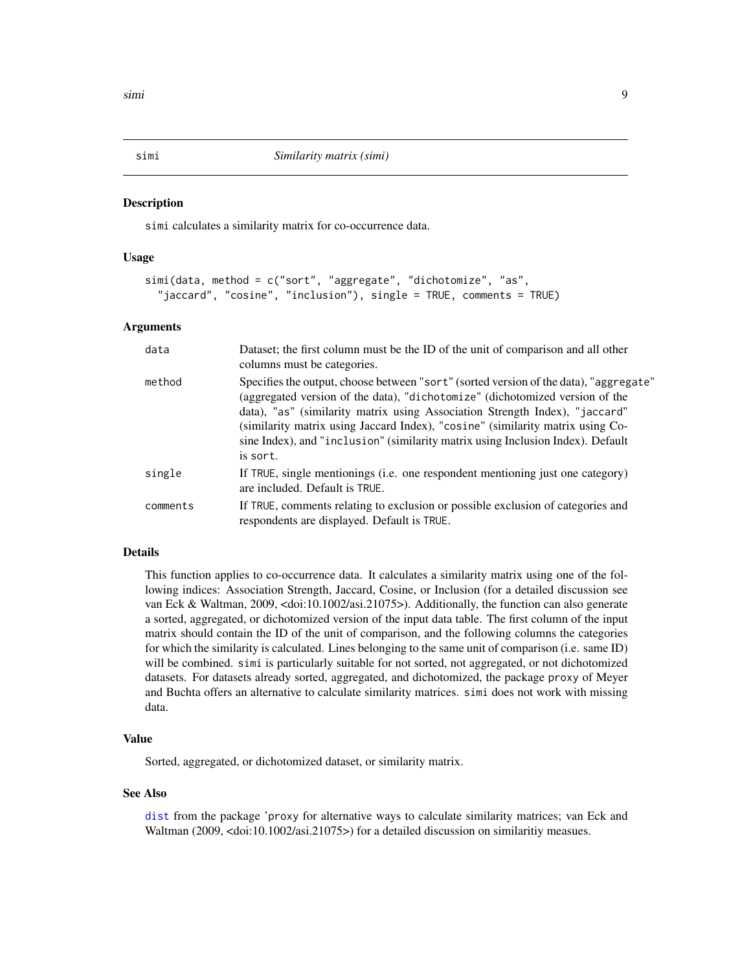<span id="page-8-1"></span><span id="page-8-0"></span>

# Description

simi calculates a similarity matrix for co-occurrence data.

# Usage

```
simi(data, method = c("sort", "aggregate", "dichotomize", "as",
  "jaccard", "cosine", "inclusion"), single = TRUE, comments = TRUE)
```
#### Arguments

| data     | Dataset; the first column must be the ID of the unit of comparison and all other<br>columns must be categories.                                                                                                                                                                                                                                                                                                                       |
|----------|---------------------------------------------------------------------------------------------------------------------------------------------------------------------------------------------------------------------------------------------------------------------------------------------------------------------------------------------------------------------------------------------------------------------------------------|
| method   | Specifies the output, choose between "sort" (sorted version of the data), "aggregate"<br>(aggregated version of the data), "dichotomize" (dichotomized version of the<br>data), "as" (similarity matrix using Association Strength Index), "jaccard"<br>(similarity matrix using Jaccard Index), "cosine" (similarity matrix using Co-<br>sine Index), and "inclusion" (similarity matrix using Inclusion Index). Default<br>is sort. |
| single   | If TRUE, single mentionings (i.e. one respondent mentioning just one category)<br>are included. Default is TRUE.                                                                                                                                                                                                                                                                                                                      |
| comments | If TRUE, comments relating to exclusion or possible exclusion of categories and<br>respondents are displayed. Default is TRUE.                                                                                                                                                                                                                                                                                                        |

# Details

This function applies to co-occurrence data. It calculates a similarity matrix using one of the following indices: Association Strength, Jaccard, Cosine, or Inclusion (for a detailed discussion see van Eck & Waltman, 2009, <doi:10.1002/asi.21075>). Additionally, the function can also generate a sorted, aggregated, or dichotomized version of the input data table. The first column of the input matrix should contain the ID of the unit of comparison, and the following columns the categories for which the similarity is calculated. Lines belonging to the same unit of comparison (i.e. same ID) will be combined. simi is particularly suitable for not sorted, not aggregated, or not dichotomized datasets. For datasets already sorted, aggregated, and dichotomized, the package proxy of Meyer and Buchta offers an alternative to calculate similarity matrices. simi does not work with missing data.

# Value

Sorted, aggregated, or dichotomized dataset, or similarity matrix.

#### See Also

[dist](#page-0-0) from the package 'proxy for alternative ways to calculate similarity matrices; van Eck and Waltman (2009, <doi:10.1002/asi.21075>) for a detailed discussion on similaritiy measues.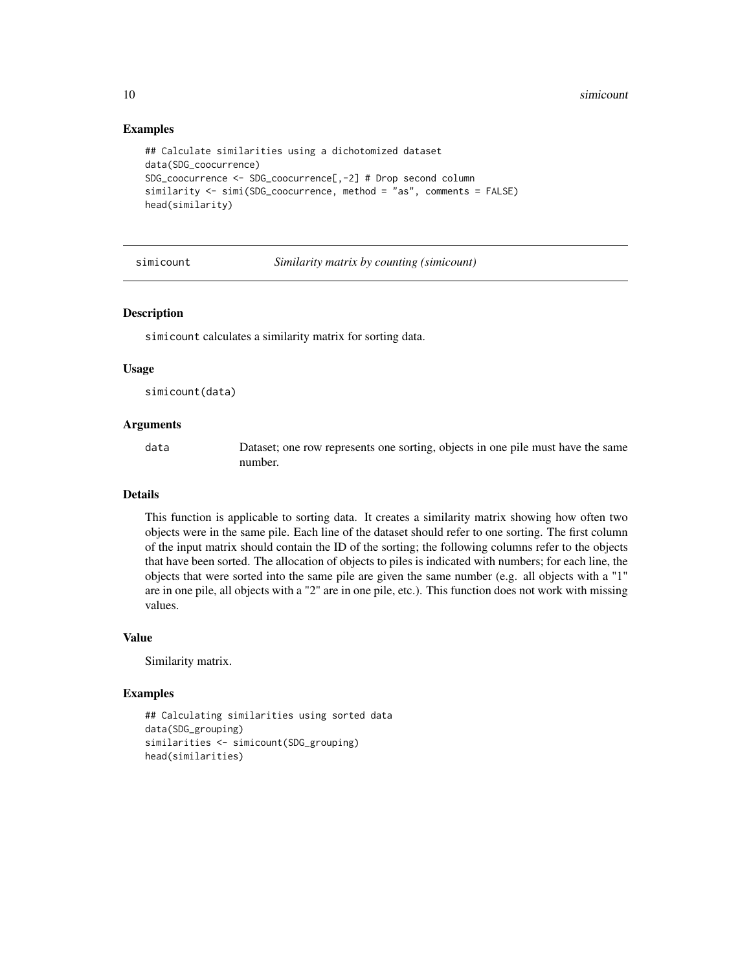# Examples

```
## Calculate similarities using a dichotomized dataset
data(SDG_coocurrence)
SDG_coocurrence <- SDG_coocurrence[,-2] # Drop second column
similarity <- simi(SDG_coocurrence, method = "as", comments = FALSE)
head(similarity)
```
simicount *Similarity matrix by counting (simicount)*

# Description

simicount calculates a similarity matrix for sorting data.

#### Usage

simicount(data)

# Arguments

data Dataset; one row represents one sorting, objects in one pile must have the same number.

# Details

This function is applicable to sorting data. It creates a similarity matrix showing how often two objects were in the same pile. Each line of the dataset should refer to one sorting. The first column of the input matrix should contain the ID of the sorting; the following columns refer to the objects that have been sorted. The allocation of objects to piles is indicated with numbers; for each line, the objects that were sorted into the same pile are given the same number (e.g. all objects with a "1" are in one pile, all objects with a "2" are in one pile, etc.). This function does not work with missing values.

#### Value

Similarity matrix.

#### Examples

```
## Calculating similarities using sorted data
data(SDG_grouping)
similarities <- simicount(SDG_grouping)
head(similarities)
```
<span id="page-9-0"></span>